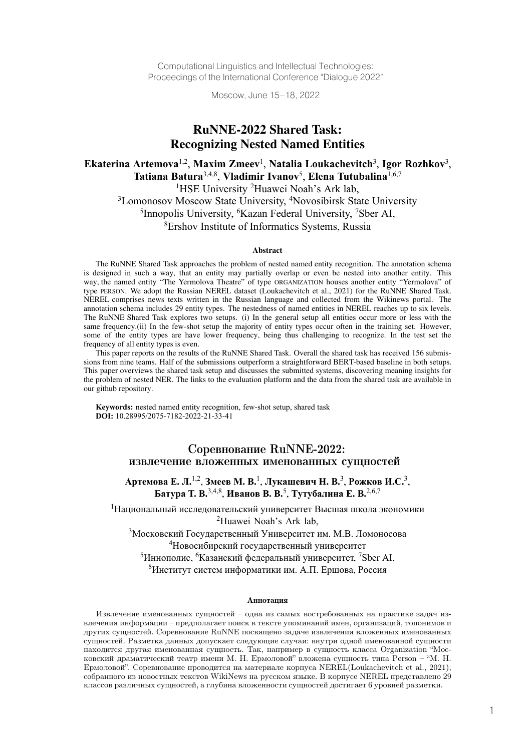Computational Linguistics and Intellectual Technologies: Proceedings of the International Conference "Dialogue 2022"

Moscow, June 15–18, 2022

# RuNNE-2022 Shared Task: **Recognizing Nested Named Entities**

## **Tatiana Batura**3,4,8, **Vladimir Ivanov**5, **Elena Tutubalina**1,6,7 **Ekaterina Artemova**1,2, **Maxim Zmeev**1, **Natalia Loukachevitch**3, **Igor Rozhkov**3, Tatiana Batura<sup>3,4,8</sup>, Vladimir Ivanov<sup>5</sup>, Elena Tutubalina<sup>1,6,7</sup>

<sup>1</sup>HSE University <sup>2</sup>Huawei Noah's Ark lab, <sup>3</sup>Lomonosov Moscow State University, <sup>4</sup>Novosibirsk State University <sup>5</sup>Innopolis University, <sup>6</sup>Kazan Federal University, <sup>7</sup>Sber AI, 8Ershov Institute of Informatics Systems, Russia

#### $$ Abstract

The RuNNE Shared Task approaches the problem of nested named entity recognition. The annotation schema In the Nurvice Shared Task approaches the problem of hested hanned entity recognition. The annotation schema<br>is designed in such a way, that an entity may partially overlap or even be nested into another entity. This the Russian Atlanta way, that all chility may partially overlap of even be fiested into another entity. This way, the named entity "The Yermolova Theatre" of type ORGANIZATION houses another entity "Yermolova" of way, the named entity. The Termolova Theatte of type OroANIZATION houses another entity. Termolova or<br>type PERSON. We adopt the Russian NEREL dataset (Loukachevitch et al., 2021) for the RuNNE Shared Task. Annotation schema include the nested in NEREL dataset (Louxaetheviten et al., 2021) for the Nutvive shared rask.<br>NEREL comprises news texts written in the Russian language and collected from the Wikinews portal. The ALKEE COMPISES HEWS LEATS WITHEN IN THE RUSSIAN TANGUAGE AND CONCLUED TROM THE WIKINEWS POTAL. THE annotation schema includes 29 entity types. The nestedness of named entities in NEREL reaches up to six levels. annotation schema includes 29 entity types. The nestedness of named entities in NEKEL reaches up to six revers.<br>The RuNNE Shared Task explores two setups. (i) In the general setup all entities occur more or less with the FIRE NUTTIE STRATE STRATE THE RUITING TASK EXPLORES TWO SEUPS. (1) IN the general setup an entities occur infore of ress with the same frequency.(ii) In the few-shot setup the majority of entity types occur often in the tr same nequency. $(n)$  in the rew-shot some of the entity types are have lower frequency, being thus challenging to recognize. In the test set the frequency of all ortity types is aver frequency of all entity types is even.

In tequency of an entity types is even.<br>This paper reports on the results of the RuNNE Shared Task. Overall the shared task has received 156 submis-This paper reports on the results of the Kurvice shared Task. Overan the shared task has received 150 submissions from nine teams. Half of the submissions outperform a straightforward BERT-based baseline in both setups. Soons from line teams. That of the submissions outperform a straightforward DERT-based baseline in bour setups.<br>This paper overviews the shared task setup and discusses the submitted systems, discovering meaning insights f This paper overviews the shared task setup and discusses the submitted systems, discovering meaning misgins for<br>the problem of nested NER. The links to the evaluation platform and the data from the shared task are availabl keywords. our github repository.

**Keywords:** nested named entity recognition, few-shot setup, shared task **DOI:** 10.28995/2075-7182-2022-21-33-41

### Соревнование RuNNE-2022: извлечение вложенных именованных сущностей

# **Артемова Е. Л.**1,2, **Змеев М. В.**1, **Лукашевич Н. В.** 3, **Рожков И.C.**3, извлечение вложенных именованных сущностей Батура Т. В.<sup>3,4,8</sup>, Иванов В. В.<sup>5</sup>, Тутубалина Е. В.<sup>2,6,7</sup>

1Национальный исследовательский университет Высшая школа экономики **Батура Т. В.**3,4,8, **Иванов В. В.**5, **Тутубалина Е. В.**2,6,7 <sup>2</sup>Huawei Noah's Ark lab,

 $^3$ Московский Государственный Университет им. М.В. Ломоносова <sup>4</sup>Новосибирский государственный университет

 $^5$ Иннополис,  $^6$ Казанский федеральный университет,  $^7$ Sber AI, <sup>8</sup>Институт систем информатики им. А.П. Ершова, Россия

#### Аннотапия

Извлечение именованных сущностей – одна из самых востребованных на практике задач извлечения информации – предполагает поиск в тексте упоминаний имен, организаций, топонимов и лые тения информации – преднолагает поиск в тексте упоминании имен, организации, топонимов и<br>других сущностей. Соревнование RuNNE посвящено задаче извлечения вложенных именованных друтих сущностей. Соревнование театеги носвящено зада с извлечения вложенных именованных<br>сущностей. Разметка данных допускает следующие случаи: внутри одной именованной сущности еущностей. I азметка данных допускает следующие случай. Внутри одной именованной сущности.<br>находится другая именованная сущность. Так, например в сущность класса Organization "Моснаходится друтая имснованная сущноств: так, например в сущноств класса отgainzation мос<br>ковский драматический театр имени М. Н. Ермоловой" вложена сущность типа Person – "М. Н. ковский драмати теский театр имени м. н. вриоловой вложена сущность типа тегот М. н.<br>Ермоловой". Соревнование проводится на материале корпуса NEREL(Loukachevitch et al., 2021), собранного из новостных текстов WikiNews на русском языке. В корпусе NEREL представлено 29 сооранного из новостных текстов wikitycws на русском языке. В корнусе WEREL представлено 25<br>классов различных сущностей, а глубина вложенности сущностей достигает 6 уровней разметки. классобразли ных сущностен, а глубина вложенности сущностей достигает о уровней разметки.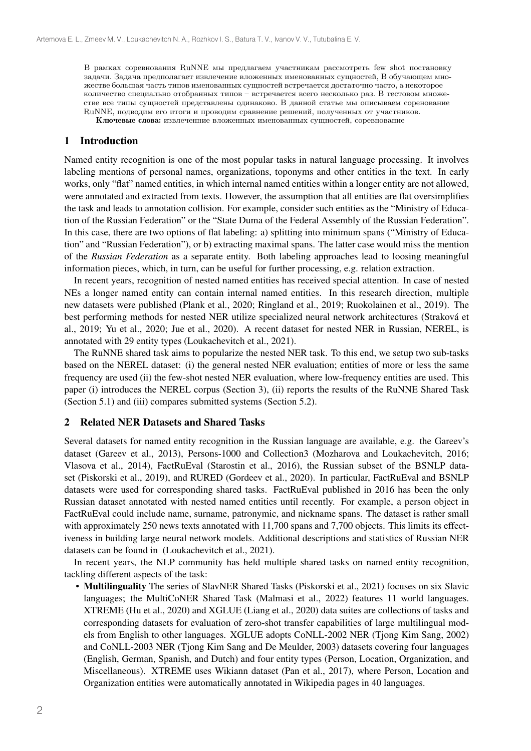количество специально отобранных типов – встречается всего несколько раз. В тестовом множестве все типы сущностей представлены одинаково. В данной статье мы описываем соренование RuNNE, подводим его итоги и проводим сравнение решений, полученных от участников. В рамках соревнования RuNNE мы предлагаем участникам рассмотреть few shot постановку задачи. Задача предполагает извлечение вложенных именованных сущностей, В обучающем множестве большая часть типов именованных сущностей встречается достаточно часто, а некоторое

Ключевые слова: извлеченние вложенных именованных сущностей, соревнование

### 1 Introduction

Named entity recognition is one of the most popular tasks in natural language processing. It involves labeling mentions of personal names, organizations, toponyms and other entities in the text. In early works, only "flat" named entities, in which internal named entities within a longer entity are not allowed, were annotated and extracted from texts. However, the assumption that all entities are flat oversimplifies the task and leads to annotation collision. For example, consider such entities as the "Ministry of Education of the Russian Federation" or the "State Duma of the Federal Assembly of the Russian Federation". In this case, there are two options of flat labeling: a) splitting into minimum spans ("Ministry of Education" and "Russian Federation"), or b) extracting maximal spans. The latter case would miss the mention of the *Russian Federation* as a separate entity. Both labeling approaches lead to loosing meaningful information pieces, which, in turn, can be useful for further processing, e.g. relation extraction.

In recent years, recognition of nested named entities has received special attention. In case of nested NEs a longer named entity can contain internal named entities. In this research direction, multiple new datasets were published (Plank et al., 2020; Ringland et al., 2019; Ruokolainen et al., 2019). The best performing methods for nested NER utilize specialized neural network architectures (Straková et al., 2019; Yu et al., 2020; Jue et al., 2020). A recent dataset for nested NER in Russian, NEREL, is annotated with 29 entity types (Loukachevitch et al., 2021).

The RuNNE shared task aims to popularize the nested NER task. To this end, we setup two sub-tasks based on the NEREL dataset: (i) the general nested NER evaluation; entities of more or less the same frequency are used (ii) the few-shot nested NER evaluation, where low-frequency entities are used. This paper (i) introduces the NEREL corpus (Section 3), (ii) reports the results of the RuNNE Shared Task (Section 5.1) and (iii) compares submitted systems (Section 5.2).

#### 2 Related NER Datasets and Shared Tasks

Several datasets for named entity recognition in the Russian language are available, e.g. the Gareev's dataset (Gareev et al., 2013), Persons-1000 and Collection3 (Mozharova and Loukachevitch, 2016; Vlasova et al., 2014), FactRuEval (Starostin et al., 2016), the Russian subset of the BSNLP dataset (Piskorski et al., 2019), and RURED (Gordeev et al., 2020). In particular, FactRuEval and BSNLP datasets were used for corresponding shared tasks. FactRuEval published in 2016 has been the only Russian dataset annotated with nested named entities until recently. For example, a person object in FactRuEval could include name, surname, patronymic, and nickname spans. The dataset is rather small with approximately 250 news texts annotated with 11,700 spans and 7,700 objects. This limits its effectiveness in building large neural network models. Additional descriptions and statistics of Russian NER datasets can be found in (Loukachevitch et al., 2021).

In recent years, the NLP community has held multiple shared tasks on named entity recognition, tackling different aspects of the task:

• Multilinguality The series of SlavNER Shared Tasks (Piskorski et al., 2021) focuses on six Slavic languages; the MultiCoNER Shared Task (Malmasi et al., 2022) features 11 world languages. XTREME (Hu et al., 2020) and XGLUE (Liang et al., 2020) data suites are collections of tasks and corresponding datasets for evaluation of zero-shot transfer capabilities of large multilingual models from English to other languages. XGLUE adopts CoNLL-2002 NER (Tjong Kim Sang, 2002) and CoNLL-2003 NER (Tjong Kim Sang and De Meulder, 2003) datasets covering four languages (English, German, Spanish, and Dutch) and four entity types (Person, Location, Organization, and Miscellaneous). XTREME uses Wikiann dataset (Pan et al., 2017), where Person, Location and Organization entities were automatically annotated in Wikipedia pages in 40 languages.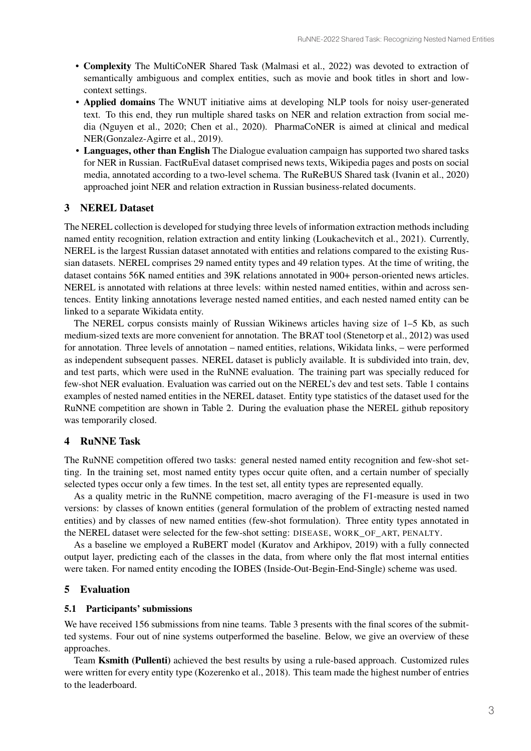- semantically ambiguous and complex entities, such as movie and book titles in short and lowcontext settings. • Complexity The MultiCoNER Shared Task (Malmasi et al., 2022) was devoted to extraction of
- Applied domains The WNUT initiative aims at developing NLP tools for noisy user-generated text. To this end, they run multiple shared tasks on NER and relation extraction from social media (Nguyen et al., 2020; Chen et al., 2020). PharmaCoNER is aimed at clinical and medical NER(Gonzalez-Agirre et al., 2019).
- Languages, other than English The Dialogue evaluation campaign has supported two shared tasks for NER in Russian. FactRuEval dataset comprised news texts, Wikipedia pages and posts on social media, annotated according to a two-level schema. The RuReBUS Shared task (Ivanin et al., 2020) approached joint NER and relation extraction in Russian business-related documents.

#### 3 NEREL Dataset

The NEREL collection is developed for studying three levels of information extraction methods including named entity recognition, relation extraction and entity linking (Loukachevitch et al., 2021). Currently, NEREL is the largest Russian dataset annotated with entities and relations compared to the existing Russian datasets. NEREL comprises 29 named entity types and 49 relation types. At the time of writing, the dataset contains 56K named entities and 39K relations annotated in 900+ person-oriented news articles. NEREL is annotated with relations at three levels: within nested named entities, within and across sentences. Entity linking annotations leverage nested named entities, and each nested named entity can be linked to a separate Wikidata entity.

The NEREL corpus consists mainly of Russian Wikinews articles having size of 1–5 Kb, as such medium-sized texts are more convenient for annotation. The BRAT tool (Stenetorp et al., 2012) was used for annotation. Three levels of annotation – named entities, relations, Wikidata links, – were performed as independent subsequent passes. NEREL dataset is publicly available. It is subdivided into train, dev, and test parts, which were used in the RuNNE evaluation. The training part was specially reduced for few-shot NER evaluation. Evaluation was carried out on the NEREL's dev and test sets. Table 1 contains examples of nested named entities in the NEREL dataset. Entity type statistics of the dataset used for the RuNNE competition are shown in Table 2. During the evaluation phase the NEREL github repository was temporarily closed.

### 4 RuNNE Task

The RuNNE competition offered two tasks: general nested named entity recognition and few-shot setting. In the training set, most named entity types occur quite often, and a certain number of specially selected types occur only a few times. In the test set, all entity types are represented equally.

As a quality metric in the RuNNE competition, macro averaging of the F1-measure is used in two versions: by classes of known entities (general formulation of the problem of extracting nested named entities) and by classes of new named entities (few-shot formulation). Three entity types annotated in the NEREL dataset were selected for the few-shot setting: DISEASE, WORK\_OF\_ART, PENALTY.

As a baseline we employed a RuBERT model (Kuratov and Arkhipov, 2019) with a fully connected output layer, predicting each of the classes in the data, from where only the flat most internal entities were taken. For named entity encoding the IOBES (Inside-Out-Begin-End-Single) scheme was used.

### 5 Evaluation

#### 5.1 Participants' submissions

We have received 156 submissions from nine teams. Table 3 presents with the final scores of the submitted systems. Four out of nine systems outperformed the baseline. Below, we give an overview of these approaches.

Team Ksmith (Pullenti) achieved the best results by using a rule-based approach. Customized rules were written for every entity type (Kozerenko et al., 2018). This team made the highest number of entries to the leaderboard.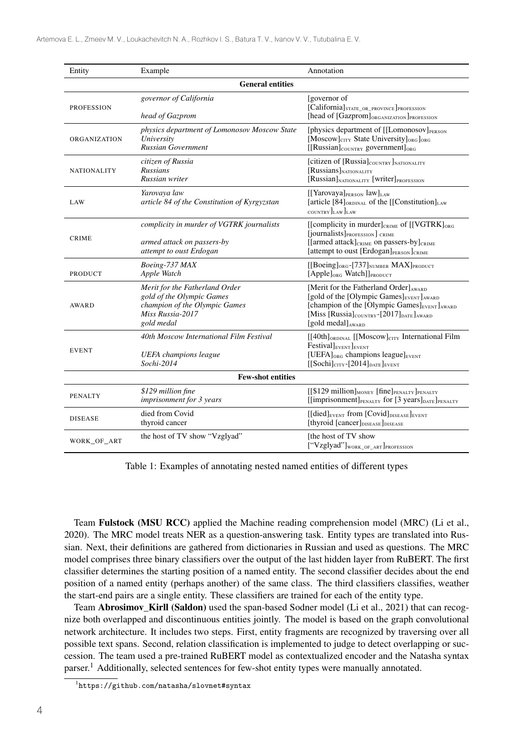| Entity                   | Example                                                                                                                        | Annotation                                                                                                                                                                                                                                                         |  |  |  |  |  |
|--------------------------|--------------------------------------------------------------------------------------------------------------------------------|--------------------------------------------------------------------------------------------------------------------------------------------------------------------------------------------------------------------------------------------------------------------|--|--|--|--|--|
| <b>General entities</b>  |                                                                                                                                |                                                                                                                                                                                                                                                                    |  |  |  |  |  |
| <b>PROFESSION</b>        | governor of California<br>head of Gazprom                                                                                      | [governor of<br>[California]STATE_OR_PROVINCE]PROFESSION<br>[head of [Gazprom]ORGANIZATION]PROFESSION                                                                                                                                                              |  |  |  |  |  |
| <b>ORGANIZATION</b>      | physics department of Lomonosov Moscow State<br>University<br><b>Russian Government</b>                                        | [physics department of [[Lomonosov] <sub>PERSON</sub><br>[Moscow]CITY State University] <sub>ORG</sub> ] <sub>ORG</sub><br>$[[Russian]_{COUNTRY}$ government] <sub>ORG</sub>                                                                                       |  |  |  |  |  |
| <b>NATIONALITY</b>       | citizen of Russia<br>Russians<br>Russian writer                                                                                | [citizen of [Russia] <sub>COUNTRY</sub> ] <sub>NATIONALITY</sub><br>[Russians]NATIONALITY<br>[Russian]NATIONALITY [Writer]PROFESSION                                                                                                                               |  |  |  |  |  |
| LAW                      | Yarovaya law<br>article 84 of the Constitution of Kyrgyzstan                                                                   | [[Yarovaya]PERSON law]LAW<br>[article $[84]_{\text{ORDINAL}}$ of the [[Constitution] <sub>LAW</sub><br>COUNTRY LAW LAW                                                                                                                                             |  |  |  |  |  |
| <b>CRIME</b>             | complicity in murder of VGTRK journalists<br>armed attack on passers-by<br>attempt to oust Erdogan                             | [[complicity in murder] <sub>CRIME</sub> of [[VGTRK] <sub>ORG</sub><br>[journalists] PROFESSION] CRIME<br>[[armed attack] <sub>CRIME</sub> on passers-by] <sub>CRIME</sub><br>[attempt to oust [Erdogan]PERSON]CRIME                                               |  |  |  |  |  |
| <b>PRODUCT</b>           | Boeing-737 MAX<br>Apple Watch                                                                                                  | [[Boeing] <sub>ORG</sub> -[737]NUMBER MAX]PRODUCT<br>[Apple] <sub>ORG</sub> Watch]] <sub>PRODUCT</sub>                                                                                                                                                             |  |  |  |  |  |
| <b>AWARD</b>             | Merit for the Fatherland Order<br>gold of the Olympic Games<br>champion of the Olympic Games<br>Miss Russia-2017<br>gold medal | [Merit for the Fatherland Order] AWARD<br>[gold of the [Olympic Games] <sub>EVENT</sub> ] <sub>AWARD</sub><br>[champion of the [Olympic Games]EVENT] AWARD<br>[Miss [Russia] $_{\text{COUNTRY}}$ -[2017] $_{\text{DATE}}$ ] <sub>AWARD</sub><br>[gold medal] AWARD |  |  |  |  |  |
| <b>EVENT</b>             | 40th Moscow International Film Festival<br><b>UEFA</b> champions league<br>Sochi-2014                                          | [[40th] <sub>ORDINAL</sub> [[Moscow] <sub>CITY</sub> International Film<br>Festival <sub>lEVENT</sub> lEVENT<br>[UEFA] $_{ORG}$ champions league] $_{EVENT}$<br>$[[Sochi]_{CITY}$ -[2014] <sub>DATE</sub> ] <sub>EVENT</sub>                                       |  |  |  |  |  |
| <b>Few-shot entities</b> |                                                                                                                                |                                                                                                                                                                                                                                                                    |  |  |  |  |  |
| <b>PENALTY</b>           | \$129 million fine<br>imprisonment for 3 years                                                                                 | [[\$129 million] <sub>MONEY</sub> [fine] <sub>PENALTY</sub> ] <sub>PENALTY</sub><br>[[imprisonment]PENALTY for [3 years]DATE]PENALTY                                                                                                                               |  |  |  |  |  |
| <b>DISEASE</b>           | died from Covid<br>thyroid cancer                                                                                              | $[[\text{died}]_{\text{EVENT}}$ from $[\text{Covid}]_{\text{DISEASE}}]_{\text{EVENT}}$<br>[thyroid [cancer]DISEASE]DISEASE                                                                                                                                         |  |  |  |  |  |
| WORK_OF_ART              | the host of TV show "Vzglyad"                                                                                                  | [the host of TV show<br>["Vzglyad"]work_OF_ART]PROFESSION                                                                                                                                                                                                          |  |  |  |  |  |

Table 1: Examples of annotating nested named entities of different types

Team Fulstock (MSU RCC) applied the Machine reading comprehension model (MRC) (Li et al., 2020). The MRC model treats NER as a question-answering task. Entity types are translated into Russian. Next, their definitions are gathered from dictionaries in Russian and used as questions. The MRC model comprises three binary classifiers over the output of the last hidden layer from RuBERT. The first classifier determines the starting position of a named entity. The second classifier decides about the end position of a named entity (perhaps another) of the same class. The third classifiers classifies, weather the start-end pairs are a single entity. These classifiers are trained for each of the entity type.

Team Abrosimov\_Kirll (Saldon) used the span-based Sodner model (Li et al., 2021) that can recognize both overlapped and discontinuous entities jointly. The model is based on the graph convolutional network architecture. It includes two steps. First, entity fragments are recognized by traversing over all possible text spans. Second, relation classification is implemented to judge to detect overlapping or succession. The team used a pre-trained RuBERT model as contextualized encoder and the Natasha syntax parser.<sup>1</sup> Additionally, selected sentences for few-shot entity types were manually annotated.

<sup>1</sup> https://github.com/natasha/slovnet#syntax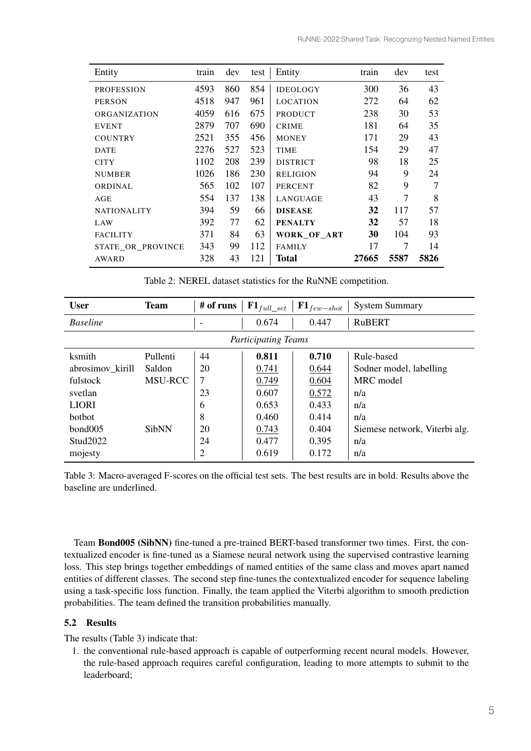| Entity              | train | dev | test | Entity          | train | dev  | test |
|---------------------|-------|-----|------|-----------------|-------|------|------|
| <b>PROFESSION</b>   | 4593  | 860 | 854  | <b>IDEOLOGY</b> | 300   | 36   | 43   |
| <b>PERSON</b>       | 4518  | 947 | 961  | <b>LOCATION</b> | 272   | 64   | 62   |
| <b>ORGANIZATION</b> | 4059  | 616 | 675  | <b>PRODUCT</b>  | 238   | 30   | 53   |
| <b>EVENT</b>        | 2879  | 707 | 690  | <b>CRIME</b>    | 181   | 64   | 35   |
| <b>COUNTRY</b>      | 2521  | 355 | 456  | <b>MONEY</b>    | 171   | 29   | 43   |
| <b>DATE</b>         | 2276  | 527 | 523  | <b>TIME</b>     | 154   | 29   | 47   |
| <b>CITY</b>         | 1102  | 208 | 239  | <b>DISTRICT</b> | 98    | 18   | 25   |
| <b>NUMBER</b>       | 1026  | 186 | 230  | <b>RELIGION</b> | 94    | 9    | 24   |
| <b>ORDINAL</b>      | 565   | 102 | 107  | <b>PERCENT</b>  | 82    | 9    | 7    |
| AGE                 | 554   | 137 | 138  | LANGUAGE        | 43    | 7    | 8    |
| <b>NATIONALITY</b>  | 394   | 59  | 66   | <b>DISEASE</b>  | 32    | 117  | 57   |
| LAW                 | 392   | 77  | 62   | <b>PENALTY</b>  | 32    | 57   | 18   |
| <b>FACILITY</b>     | 371   | 84  | 63   | WORK_OF_ART     | 30    | 104  | 93   |
| STATE OR PROVINCE   | 343   | 99  | 112  | <b>FAMILY</b>   | 17    | 7    | 14   |
| AWARD               | 328   | 43  | 121  | Total           | 27665 | 5587 | 5826 |

Table 2: NEREL dataset statistics for the RuNNE competition.

| <b>User</b>                | <b>Team</b>    | # of runs | ${\bf F1}_{full\_set}$ | $\mathbf{F1}_{few-shot}$ | <b>System Summary</b>         |  |  |
|----------------------------|----------------|-----------|------------------------|--------------------------|-------------------------------|--|--|
| <b>Baseline</b>            |                |           | 0.674                  | 0.447                    | <b>RuBERT</b>                 |  |  |
| <b>Participating Teams</b> |                |           |                        |                          |                               |  |  |
| ksmith                     | Pullenti       | 44        | 0.811                  | 0.710                    | Rule-based                    |  |  |
| abrosimov_kirill           | Saldon         | 20        | 0.741                  | 0.644                    | Sodner model, labelling       |  |  |
| fulstock                   | <b>MSU-RCC</b> | 7         | 0.749                  | 0.604                    | MRC model                     |  |  |
| svetlan                    |                | 23        | 0.607                  | 0.572                    | n/a                           |  |  |
| <b>LIORI</b>               |                | 6         | 0.653                  | 0.433                    | n/a                           |  |  |
| <b>bothot</b>              |                | 8         | 0.460                  | 0.414                    | n/a                           |  |  |
| bond005                    | <b>SibNN</b>   | 20        | 0.743                  | 0.404                    | Siemese network, Viterbi alg. |  |  |
| Stud2022                   |                | 24        | 0.477                  | 0.395                    | n/a                           |  |  |
| mojesty                    |                | 2         | 0.619                  | 0.172                    | n/a                           |  |  |

Table 3: Macro-averaged F-scores on the official test sets. The best results are in bold. Results above the baseline are underlined.

Team Bond005 (SibNN) fine-tuned a pre-trained BERT-based transformer two times. First, the contextualized encoder is fine-tuned as a Siamese neural network using the supervised contrastive learning loss. This step brings together embeddings of named entities of the same class and moves apart named entities of different classes. The second step fine-tunes the contextualized encoder for sequence labeling using a task-specific loss function. Finally, the team applied the Viterbi algorithm to smooth prediction probabilities. The team defined the transition probabilities manually.

### 5.2 Results

The results (Table 3) indicate that:

1. the conventional rule-based approach is capable of outperforming recent neural models. However, the rule-based approach requires careful configuration, leading to more attempts to submit to the leaderboard;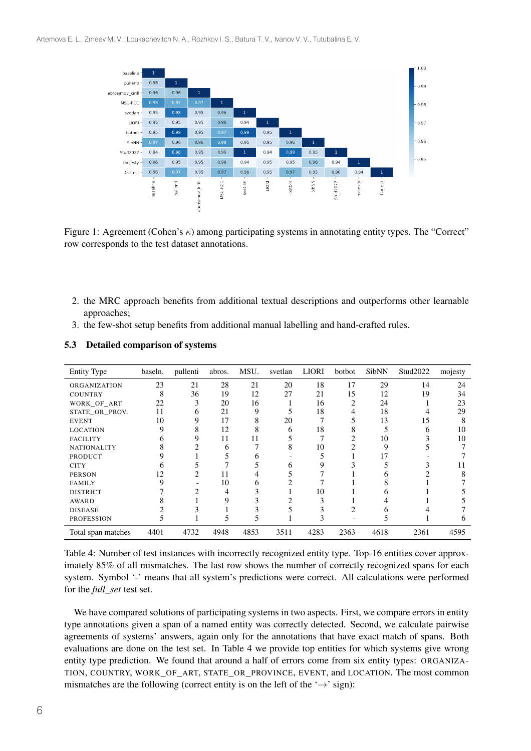

Figure 1: Agreement (Cohen's  $\kappa$ ) among participating systems in annotating entity types. The "Correct" row corresponds to the test dataset annotations.

- 2. the MRC approach benefits from additional textual descriptions and outperforms other learnable approaches;
- 3. the few-shot setup benefits from additional manual labelling and hand-crafted rules.

| <b>Entity Type</b> | baseln. | pullenti | abros. | MSU. | svetlan | <b>LIORI</b> | botbot | <b>SibNN</b> | Stud2022 | mojesty |
|--------------------|---------|----------|--------|------|---------|--------------|--------|--------------|----------|---------|
| ORGANIZATION       | 23      | 21       | 28     | 21   | 20      | 18           | 17     | 29           | 14       | 24      |
| <b>COUNTRY</b>     | 8       | 36       | 19     | 12   | 27      | 21           | 15     | 12           | 19       | 34      |
| WORK OF ART        | 22      | 3        | 20     | 16   |         | 16           | 2      | 24           |          | 23      |
| STATE_OR_PROV.     | 11      | 6        | 21     | 9    |         | 18           |        | 18           |          | 29      |
| <b>EVENT</b>       | 10      | 9        | 17     | 8    | 20      |              |        | 13           | 15       | 8       |
| <b>LOCATION</b>    | 9       | 8        | 12     |      | 6       | 18           |        |              | h        | 10      |
| <b>FACILITY</b>    | h       |          | 11     |      |         |              |        | 10           |          | 10      |
| <b>NATIONALITY</b> | δ       |          | h      |      | 8       | 10           |        | 9            |          |         |
| <b>PRODUCT</b>     |         |          |        |      |         |              |        |              |          |         |
| <b>CITY</b>        |         |          |        |      |         |              |        |              |          | 11      |
| <b>PERSON</b>      | 12      |          |        |      |         |              |        |              |          |         |
| <b>FAMILY</b>      | Q       |          | 10     |      |         |              |        |              |          |         |
| <b>DISTRICT</b>    |         |          |        |      |         | 10           |        |              |          |         |
| AWARD              |         |          |        |      |         |              |        |              |          |         |
| <b>DISEASE</b>     |         |          |        |      |         |              |        |              |          |         |
| <b>PROFESSION</b>  |         |          |        |      |         | 3            |        |              |          |         |
| Total span matches | 4401    | 4732     | 4948   | 4853 | 3511    | 4283         | 2363   | 4618         | 2361     | 4595    |

5.3 Detailed comparison of systems

Table 4: Number of test instances with incorrectly recognized entity type. Top-16 entities cover approximately 85% of all mismatches. The last row shows the number of correctly recognized spans for each system. Symbol '-' means that all system's predictions were correct. All calculations were performed for the *full\_set* test set.

We have compared solutions of participating systems in two aspects. First, we compare errors in entity type annotations given a span of a named entity was correctly detected. Second, we calculate pairwise agreements of systems' answers, again only for the annotations that have exact match of spans. Both evaluations are done on the test set. In Table 4 we provide top entities for which systems give wrong entity type prediction. We found that around a half of errors come from six entity types: ORGANIZA-TION, COUNTRY, WORK\_OF\_ART, STATE\_OR\_PROVINCE, EVENT, and LOCATION. The most common mismatches are the following (correct entity is on the left of the ' $\rightarrow$ ' sign):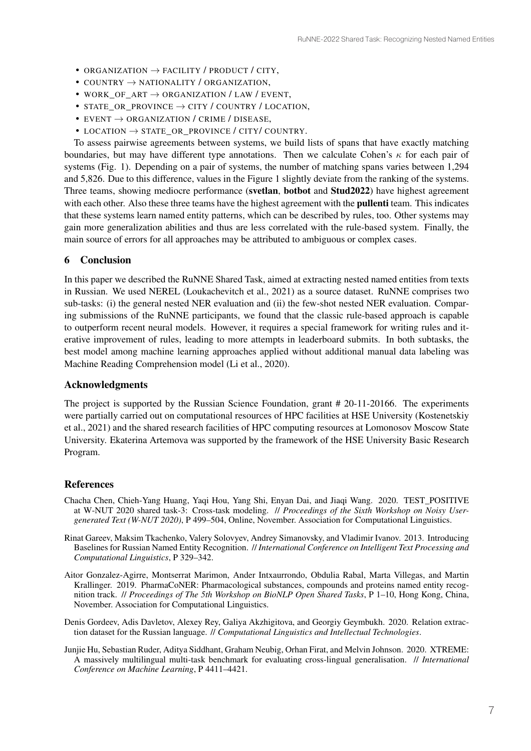- ORGANIZATION  $\rightarrow$  FACILITY / PRODUCT / CITY,
- COUNTRY  $\rightarrow$  NATIONALITY / ORGANIZATION,
- WORK OF ART  $\rightarrow$  ORGANIZATION / LAW / EVENT,
- STATE OR PROVINCE  $\rightarrow$  CITY / COUNTRY / LOCATION,
- EVENT  $\rightarrow$  ORGANIZATION / CRIME / DISEASE,
- LOCATION  $\rightarrow$  STATE OR PROVINCE / CITY/ COUNTRY.

To assess pairwise agreements between systems, we build lists of spans that have exactly matching boundaries, but may have different type annotations. Then we calculate Cohen's  $\kappa$  for each pair of systems (Fig. 1). Depending on a pair of systems, the number of matching spans varies between 1,294 and 5,826. Due to this difference, values in the Figure 1 slightly deviate from the ranking of the systems. Three teams, showing mediocre performance (svetlan, botbot and Stud2022) have highest agreement with each other. Also these three teams have the highest agreement with the **pullenti** team. This indicates that these systems learn named entity patterns, which can be described by rules, too. Other systems may gain more generalization abilities and thus are less correlated with the rule-based system. Finally, the main source of errors for all approaches may be attributed to ambiguous or complex cases.

#### 6 Conclusion

In this paper we described the RuNNE Shared Task, aimed at extracting nested named entities from texts in Russian. We used NEREL (Loukachevitch et al., 2021) as a source dataset. RuNNE comprises two sub-tasks: (i) the general nested NER evaluation and (ii) the few-shot nested NER evaluation. Comparing submissions of the RuNNE participants, we found that the classic rule-based approach is capable to outperform recent neural models. However, it requires a special framework for writing rules and iterative improvement of rules, leading to more attempts in leaderboard submits. In both subtasks, the best model among machine learning approaches applied without additional manual data labeling was Machine Reading Comprehension model (Li et al., 2020).

#### Acknowledgments

The project is supported by the Russian Science Foundation, grant # 20-11-20166. The experiments were partially carried out on computational resources of HPC facilities at HSE University (Kostenetskiy et al., 2021) and the shared research facilities of HPC computing resources at Lomonosov Moscow State University. Ekaterina Artemova was supported by the framework of the HSE University Basic Research Program.

### References

- Chacha Chen, Chieh-Yang Huang, Yaqi Hou, Yang Shi, Enyan Dai, and Jiaqi Wang. 2020. TEST\_POSITIVE at W-NUT 2020 shared task-3: Cross-task modeling. // *Proceedings of the Sixth Workshop on Noisy Usergenerated Text (W-NUT 2020)*, P 499–504, Online, November. Association for Computational Linguistics.
- Rinat Gareev, Maksim Tkachenko, Valery Solovyev, Andrey Simanovsky, and Vladimir Ivanov. 2013. Introducing Baselines for Russian Named Entity Recognition. // *International Conference on Intelligent Text Processing and Computational Linguistics*, P 329–342.
- Aitor Gonzalez-Agirre, Montserrat Marimon, Ander Intxaurrondo, Obdulia Rabal, Marta Villegas, and Martin Krallinger. 2019. PharmaCoNER: Pharmacological substances, compounds and proteins named entity recognition track. // *Proceedings of The 5th Workshop on BioNLP Open Shared Tasks*, P 1–10, Hong Kong, China, November. Association for Computational Linguistics.
- Denis Gordeev, Adis Davletov, Alexey Rey, Galiya Akzhigitova, and Georgiy Geymbukh. 2020. Relation extraction dataset for the Russian language. // *Computational Linguistics and Intellectual Technologies*.
- Junjie Hu, Sebastian Ruder, Aditya Siddhant, Graham Neubig, Orhan Firat, and Melvin Johnson. 2020. XTREME: A massively multilingual multi-task benchmark for evaluating cross-lingual generalisation. // *International Conference on Machine Learning*, P 4411–4421.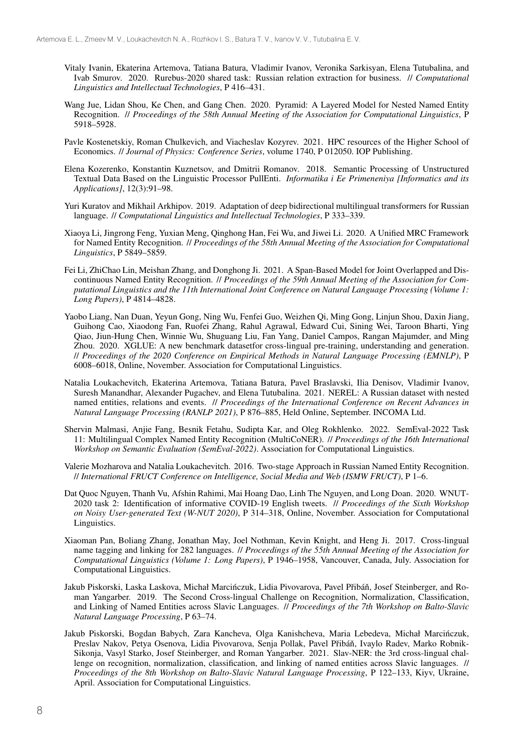- Vitaly Ivanin, Ekaterina Artemova, Tatiana Batura, Vladimir Ivanov, Veronika Sarkisyan, Elena Tutubalina, and Ivab Smurov. 2020. Rurebus-2020 shared task: Russian relation extraction for business. // *Computational Linguistics and Intellectual Technologies*, P 416–431.
- Wang Jue, Lidan Shou, Ke Chen, and Gang Chen. 2020. Pyramid: A Layered Model for Nested Named Entity Recognition. // *Proceedings of the 58th Annual Meeting of the Association for Computational Linguistics*, P 5918–5928.
- Pavle Kostenetskiy, Roman Chulkevich, and Viacheslav Kozyrev. 2021. HPC resources of the Higher School of Economics. // *Journal of Physics: Conference Series*, volume 1740, P 012050. IOP Publishing.
- Elena Kozerenko, Konstantin Kuznetsov, and Dmitrii Romanov. 2018. Semantic Processing of Unstructured Textual Data Based on the Linguistic Processor PullEnti. *Informatika i Ee Primeneniya [Informatics and its Applications]*, 12(3):91–98.
- Yuri Kuratov and Mikhail Arkhipov. 2019. Adaptation of deep bidirectional multilingual transformers for Russian language. // *Computational Linguistics and Intellectual Technologies*, P 333–339.
- Xiaoya Li, Jingrong Feng, Yuxian Meng, Qinghong Han, Fei Wu, and Jiwei Li. 2020. A Unified MRC Framework for Named Entity Recognition. // *Proceedings of the 58th Annual Meeting of the Association for Computational Linguistics*, P 5849–5859.
- Fei Li, ZhiChao Lin, Meishan Zhang, and Donghong Ji. 2021. A Span-Based Model for Joint Overlapped and Discontinuous Named Entity Recognition. // *Proceedings of the 59th Annual Meeting of the Association for Computational Linguistics and the 11th International Joint Conference on Natural Language Processing (Volume 1: Long Papers)*, P 4814–4828.
- Yaobo Liang, Nan Duan, Yeyun Gong, Ning Wu, Fenfei Guo, Weizhen Qi, Ming Gong, Linjun Shou, Daxin Jiang, Guihong Cao, Xiaodong Fan, Ruofei Zhang, Rahul Agrawal, Edward Cui, Sining Wei, Taroon Bharti, Ying Qiao, Jiun-Hung Chen, Winnie Wu, Shuguang Liu, Fan Yang, Daniel Campos, Rangan Majumder, and Ming Zhou. 2020. XGLUE: A new benchmark datasetfor cross-lingual pre-training, understanding and generation. // *Proceedings of the 2020 Conference on Empirical Methods in Natural Language Processing (EMNLP)*, P 6008–6018, Online, November. Association for Computational Linguistics.
- Natalia Loukachevitch, Ekaterina Artemova, Tatiana Batura, Pavel Braslavski, Ilia Denisov, Vladimir Ivanov, Suresh Manandhar, Alexander Pugachev, and Elena Tutubalina. 2021. NEREL: A Russian dataset with nested named entities, relations and events. // *Proceedings of the International Conference on Recent Advances in Natural Language Processing (RANLP 2021)*, P 876–885, Held Online, September. INCOMA Ltd.
- Shervin Malmasi, Anjie Fang, Besnik Fetahu, Sudipta Kar, and Oleg Rokhlenko. 2022. SemEval-2022 Task 11: Multilingual Complex Named Entity Recognition (MultiCoNER). // *Proceedings of the 16th International Workshop on Semantic Evaluation (SemEval-2022)*. Association for Computational Linguistics.
- Valerie Mozharova and Natalia Loukachevitch. 2016. Two-stage Approach in Russian Named Entity Recognition. // *International FRUCT Conference on Intelligence, Social Media and Web (ISMW FRUCT)*, P 1–6.
- Dat Quoc Nguyen, Thanh Vu, Afshin Rahimi, Mai Hoang Dao, Linh The Nguyen, and Long Doan. 2020. WNUT-2020 task 2: Identification of informative COVID-19 English tweets. // *Proceedings of the Sixth Workshop on Noisy User-generated Text (W-NUT 2020)*, P 314–318, Online, November. Association for Computational Linguistics.
- Xiaoman Pan, Boliang Zhang, Jonathan May, Joel Nothman, Kevin Knight, and Heng Ji. 2017. Cross-lingual name tagging and linking for 282 languages. // *Proceedings of the 55th Annual Meeting of the Association for Computational Linguistics (Volume 1: Long Papers)*, P 1946–1958, Vancouver, Canada, July. Association for Computational Linguistics.
- Jakub Piskorski, Laska Laskova, Michał Marcińczuk, Lidia Pivovarova, Pavel Přibáň, Josef Steinberger, and Roman Yangarber. 2019. The Second Cross-lingual Challenge on Recognition, Normalization, Classification, and Linking of Named Entities across Slavic Languages. // *Proceedings of the 7th Workshop on Balto-Slavic Natural Language Processing*, P 63–74.
- Jakub Piskorski, Bogdan Babych, Zara Kancheva, Olga Kanishcheva, Maria Lebedeva, Michał Marcinczuk, ´ Preslav Nakov, Petya Osenova, Lidia Pivovarova, Senja Pollak, Pavel Přibáň, Ivaylo Radev, Marko Robnik-Sikonja, Vasyl Starko, Josef Steinberger, and Roman Yangarber. 2021. Slav-NER: the 3rd cross-lingual challenge on recognition, normalization, classification, and linking of named entities across Slavic languages. // *Proceedings of the 8th Workshop on Balto-Slavic Natural Language Processing*, P 122–133, Kiyv, Ukraine, April. Association for Computational Linguistics.